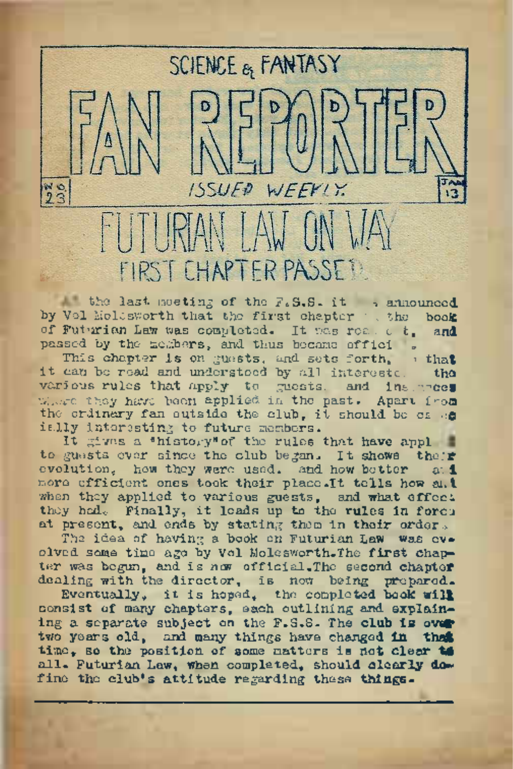FIRST CHAPTER PASSE !!

WEEK!

**ISSUED** 

 $23$ 

SCIENCE & FANTASY

the last meeting of the F.S.S. it -> announced by Vol Moldsworth that the first chapter : the book of Futurian Law was completed. It was read of. passed by the members, and thus became offici.

This chapter is on guests, and sets forth,  $\theta$  that can be read and understood by all interests. the it can be read and understood by all interests. various rules that apply to guests. and ins.ances where they have been applied in the past. Apart from the critnery fan outside the club, it should be es .e ially interesting to future members.

It gives a \*histogy\*of the rules that have appl to guests ever since the club began. It shows their evolution, how they were used, and how better more efficient ones took their place. It tells how and when they applied to various guests, and what effect they hade Finally, it leads up to the rules in force at present, and ends by stating them in their order.

The idea of having a book on Futurian Law was ovolved some time ago by Vol Molesworth.The first chapter was begun, and is now official. The second chapter dealing with the director, is now being prepared.

Eventually, it is hoped, the completed book will consist of many chapters, each outlining and explaining a separate subject on the F.S.S. The club is over two years old, and many things have changed in that time, so the position of some matters is not clear to all. Futurian Law, when completed, should clearly dofine the club's attitude regarding these things.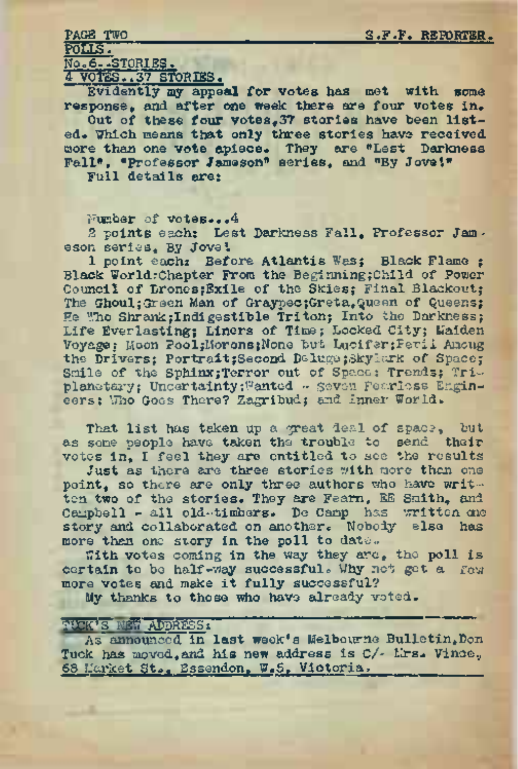PAGE TWO S.F.F. REPORTER.

POLLS. No.6..STORIES.

4 VOTES..37 STORIES.

Evidently my appeal for votes has met with some response, and. after one week there are four votes in.

Out of these four votes. 37 stories have been listed. Which means that only three stories have received more than one vote apiece. They are "Lest Darkness Fall", "Professor Jameson" series, and "By Jove I\* Full details are:

Number of votes...4

2 points each: Lest Darkness Fall, Professor Jameson series. By Jove'.

1 point each: Before Atlantis Was: Black Flame : Black WorldrChapter From the Beginning;Child of Power Council of Drones;Exile of the Skies; Final Blackout; The Ghoul: Green Man of Graypec;Greta, Queen of Queens: He Who Shrank; Indigestible Triton; Into the Darkness; Life Everlasting; Liners of Time; Locked City; Maiden Voyage: Moon Pool;Morons;None but Lucifer;Peril Among the Drivers; Portrait; Second Deluge; Skylark of Space; Smile of the Sphinx; Terror out of Space; Trends; Triplanetary; Uncertainty; Wanted -- seven Fearless Engineers: Who Goes There? Zagribud; and Inner World.

That list has taken up a great deal of space, but as some people have taken the trouble to send their votes in, I feel they are entitled to see the results

Just as there are three stories with more than one point, so there are only three authors who have written two of the stories. They are Fearn, EE Smith, and Campbell - all old-timbers. De Camp has written one story and collaborated on another. Nobody else has more than one story in the poll to date..

With votes coming in the way they are, the poll is certain to be half-way successful. Why not get a few more votes and make it fully successful?

My thanks to those who have already voted.

## **SUCK'S NEW APPRESS,**

As announced in last week's Melbourne Bulletin, Don Tuck has moved, and his new address is C/- Mrs. Vince, 68 Market St., Essendon, W.5, Victoria.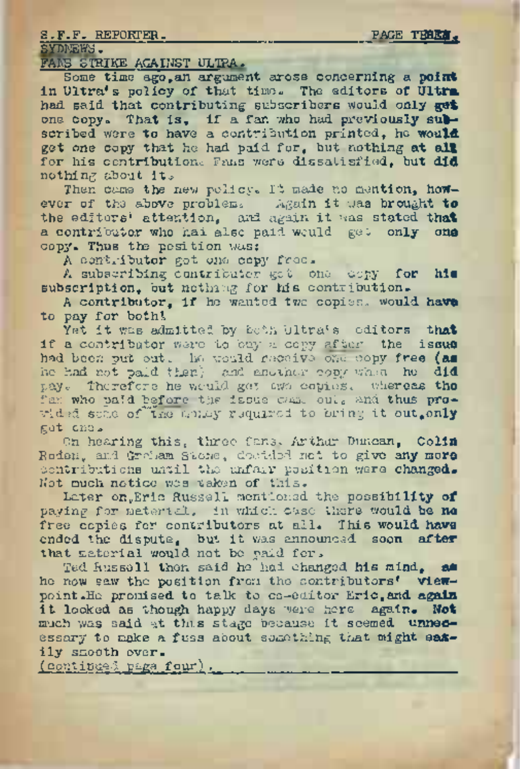SYDNEWS.

FANS STRIKE AGAINST ULTRA.

S.F.F. REPORTER.<br>SYDERS.<br>FARE STRIKE AGAINST ULTRA.<br>Some time sgo,all argument arose concerning a point<br>in litraic and to act that time. The editors of litre Some time ago,an argument arose concerning <sup>a</sup> **point** in Ultra's policy of that time. The editors **of Ultra** had said that contributing subscribers would only **get** one copy. That is, if a fan who had previously **sub**scribed were to have a contribution printed, he would get one copy that he had paid for, but nothing at **all** for his contribution. Fans were dissatisfied, but did nothing about it.

Then came the new policy. It made no mention, however of the above problemc. Again it was brought **to** the editors\* attention, and again it was stated **that** a contributor who had also paid would get only one copy. Thus the position was;

A-contributor got one copy free.

A subscribing contributor got one copy for his subscription, but nothing for his contribution.

A contributor, if he wanted two copies, would have to pay for bothl

Yet it was admitted by both Ultra's editors that if a contributor were to buy a copy after the issue had been put out. In would receive one copy free (as he had not paid then} and another copy when he did pay. Therefore he would get awa copies, whereas the fan who paid before the issue came oul, and thus provided some of "the analy required to bring it out, only got one.

On hearing this, three fans. Arthur Duncan, Colin Roden, and Graham Stone, doctded not to give any more contributions until the unfair position were changed. Not much notice was taken of this.

Later on, Eric Russell mentioned the possibility of paying for material<sup>9</sup> in which case there would be **no** free copies for contributors at all. This would have ended the dispute, but it was announced soon **after** that material would not be paid for.

Ted Russell then said he had changed his mind, **as** he now saw the position from the contributors' viewpoint «He promised to talk to co-editor Eric,and again it looked as though happy days were here again. **Not** much was said at this stage because it seemed unnecessary to make a fuss about something that might easily smooth over.

(continued page four).